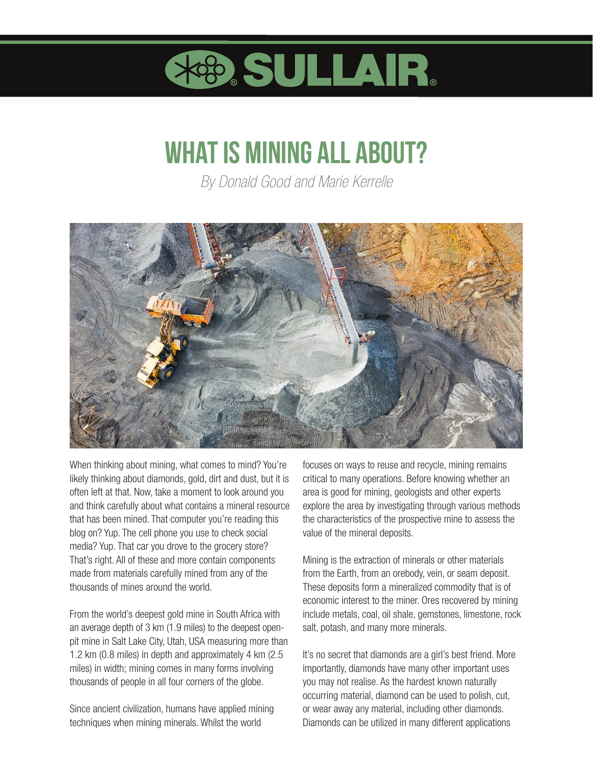

## **What is mining all about?**

*By Donald Good and Marie Kerrelle*



When thinking about mining, what comes to mind? You're likely thinking about diamonds, gold, dirt and dust, but it is often left at that. Now, take a moment to look around you and think carefully about what contains a mineral resource that has been mined. That computer you're reading this blog on? Yup. The cell phone you use to check social media? Yup. That car you drove to the grocery store? That's right. All of these and more contain components made from materials carefully mined from any of the thousands of mines around the world.

From the world's deepest gold mine in South Africa with an average depth of 3 km (1.9 miles) to the deepest openpit mine in Salt Lake City, Utah, USA measuring more than 1.2 km (0.8 miles) in depth and approximately 4 km (2.5 miles) in width; mining comes in many forms involving thousands of people in all four corners of the globe.

Since ancient civilization, humans have applied mining techniques when mining minerals. Whilst the world

focuses on ways to reuse and recycle, mining remains critical to many operations. Before knowing whether an area is good for mining, geologists and other experts explore the area by investigating through various methods the characteristics of the prospective mine to assess the value of the mineral deposits.

Mining is the extraction of minerals or other materials from the Earth, from an orebody, vein, or seam deposit. These deposits form a mineralized commodity that is of economic interest to the miner. Ores recovered by mining include metals, coal, oil shale, gemstones, limestone, rock salt, potash, and many more minerals.

It's no secret that diamonds are a girl's best friend. More importantly, diamonds have many other important uses you may not realise. As the hardest known naturally occurring material, diamond can be used to polish, cut, or wear away any material, including other diamonds. Diamonds can be utilized in many different applications